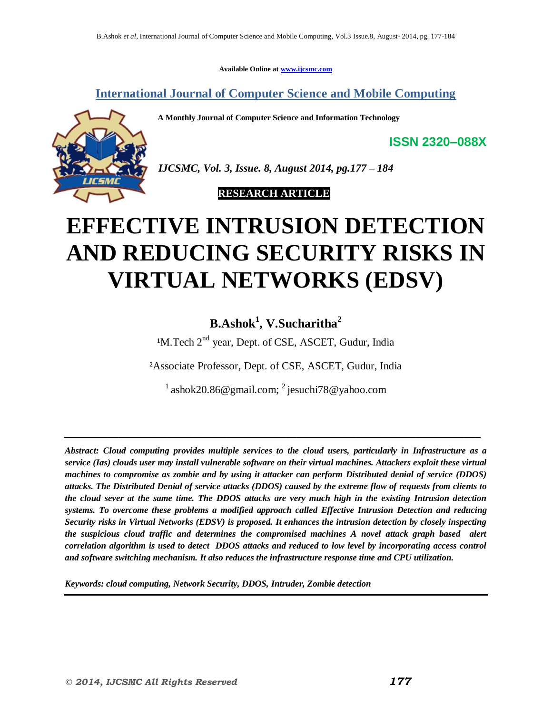**Available Online at www.ijcsmc.com**

**International Journal of Computer Science and Mobile Computing**

**A Monthly Journal of Computer Science and Information Technology**



*IJCSMC, Vol. 3, Issue. 8, August 2014, pg.177 – 184*

 **RESEARCH ARTICLE**

# **EFFECTIVE INTRUSION DETECTION AND REDUCING SECURITY RISKS IN VIRTUAL NETWORKS (EDSV)**

# **B.Ashok<sup>1</sup> , V.Sucharitha<sup>2</sup>**

<sup>1</sup>M.Tech 2<sup>nd</sup> year, Dept. of CSE, ASCET, Gudur, India

²Associate Professor, Dept. of CSE, ASCET, Gudur, India

 $^{1}$  ashok20.86@gmail.com;  $^{2}$  jesuchi78@yahoo.com

*\_\_\_\_\_\_\_\_\_\_\_\_\_\_\_\_\_\_\_\_\_\_\_\_\_\_\_\_\_\_\_\_\_\_\_\_\_\_\_\_\_\_\_\_\_\_\_\_\_\_\_\_\_\_\_\_\_\_\_\_\_\_\_\_\_\_\_\_\_\_\_\_\_\_\_\_\_*

*Abstract: Cloud computing provides multiple services to the cloud users, particularly in Infrastructure as a service (Ias) clouds user may install vulnerable software on their virtual machines. Attackers exploit these virtual machines to compromise as zombie and by using it attacker can perform Distributed denial of service (DDOS) attacks. The Distributed Denial of service attacks (DDOS) caused by the extreme flow of requests from clients to the cloud sever at the same time. The DDOS attacks are very much high in the existing Intrusion detection systems. To overcome these problems a modified approach called Effective Intrusion Detection and reducing Security risks in Virtual Networks (EDSV) is proposed. It enhances the intrusion detection by closely inspecting the suspicious cloud traffic and determines the compromised machines A novel attack graph based alert correlation algorithm is used to detect DDOS attacks and reduced to low level by incorporating access control and software switching mechanism. It also reduces the infrastructure response time and CPU utilization.*

*Keywords: cloud computing, Network Security, DDOS, Intruder, Zombie detection*

**ISSN 2320–088X**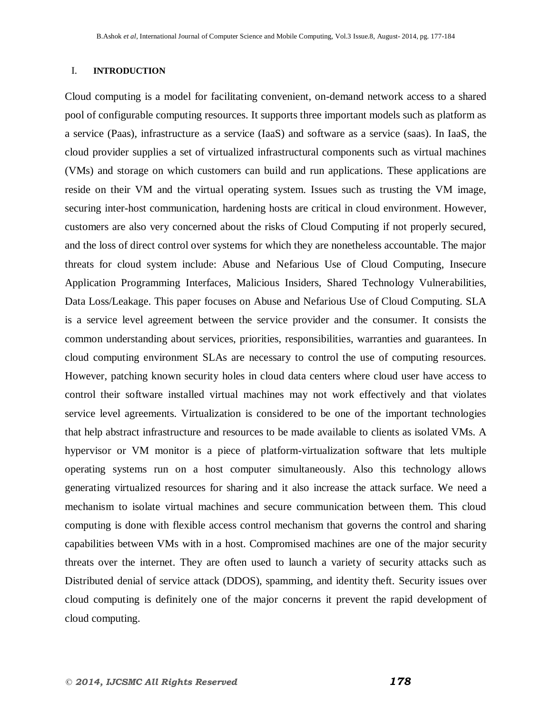#### I. **INTRODUCTION**

Cloud computing is a model for facilitating convenient, on-demand network access to a shared pool of configurable computing resources. It supports three important models such as platform as a service (Paas), infrastructure as a service (IaaS) and software as a service (saas). In IaaS, the cloud provider supplies a set of virtualized infrastructural components such as virtual machines (VMs) and storage on which customers can build and run applications. These applications are reside on their VM and the virtual operating system. Issues such as trusting the VM image, securing inter-host communication, hardening hosts are critical in cloud environment. However, customers are also very concerned about the risks of Cloud Computing if not properly secured, and the loss of direct control over systems for which they are nonetheless accountable. The major threats for cloud system include: Abuse and Nefarious Use of Cloud Computing, Insecure Application Programming Interfaces, Malicious Insiders, Shared Technology Vulnerabilities, Data Loss/Leakage. This paper focuses on Abuse and Nefarious Use of Cloud Computing. SLA is a service level agreement between the service provider and the consumer. It consists the common understanding about services, priorities, responsibilities, warranties and guarantees. In cloud computing environment SLAs are necessary to control the use of computing resources. However, patching known security holes in cloud data centers where cloud user have access to control their software installed virtual machines may not work effectively and that violates service level agreements. Virtualization is considered to be one of the important technologies that help abstract infrastructure and resources to be made available to clients as isolated VMs. A hypervisor or VM monitor is a piece of platform-virtualization software that lets multiple operating systems run on a host computer simultaneously. Also this technology allows generating virtualized resources for sharing and it also increase the attack surface. We need a mechanism to isolate virtual machines and secure communication between them. This cloud computing is done with flexible access control mechanism that governs the control and sharing capabilities between VMs with in a host. Compromised machines are one of the major security threats over the internet. They are often used to launch a variety of security attacks such as Distributed denial of service attack (DDOS), spamming, and identity theft. Security issues over cloud computing is definitely one of the major concerns it prevent the rapid development of cloud computing.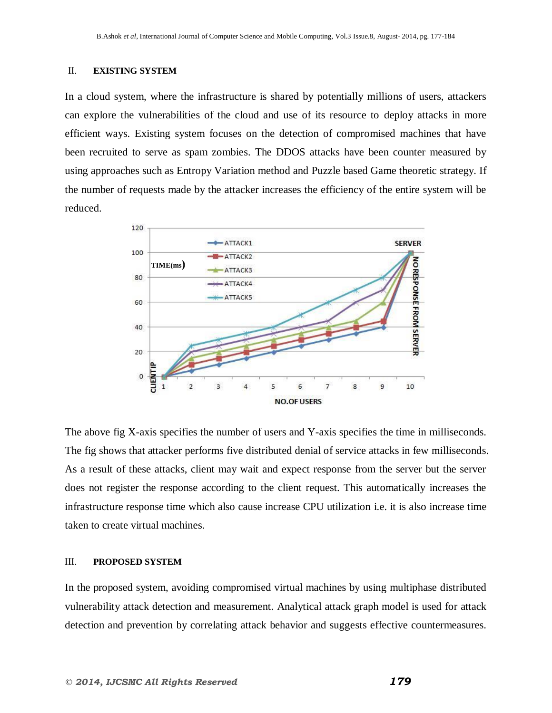#### II. **EXISTING SYSTEM**

In a cloud system, where the infrastructure is shared by potentially millions of users, attackers can explore the vulnerabilities of the cloud and use of its resource to deploy attacks in more efficient ways. Existing system focuses on the detection of compromised machines that have been recruited to serve as spam zombies. The DDOS attacks have been counter measured by using approaches such as Entropy Variation method and Puzzle based Game theoretic strategy. If the number of requests made by the attacker increases the efficiency of the entire system will be reduced.



The above fig X-axis specifies the number of users and Y-axis specifies the time in milliseconds. The fig shows that attacker performs five distributed denial of service attacks in few milliseconds. As a result of these attacks, client may wait and expect response from the server but the server does not register the response according to the client request. This automatically increases the infrastructure response time which also cause increase CPU utilization i.e. it is also increase time taken to create virtual machines.

#### III. **PROPOSED SYSTEM**

In the proposed system, avoiding compromised virtual machines by using multiphase distributed vulnerability attack detection and measurement. Analytical attack graph model is used for attack detection and prevention by correlating attack behavior and suggests effective countermeasures.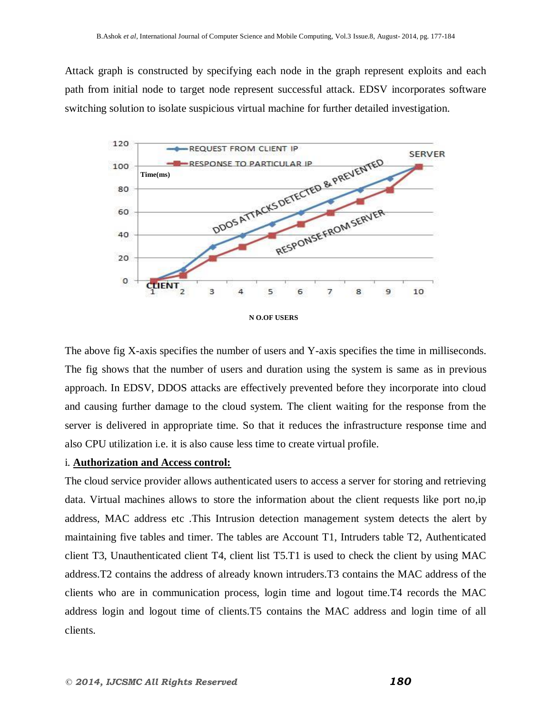Attack graph is constructed by specifying each node in the graph represent exploits and each path from initial node to target node represent successful attack. EDSV incorporates software switching solution to isolate suspicious virtual machine for further detailed investigation.



**N O.OF USERS**

The above fig X-axis specifies the number of users and Y-axis specifies the time in milliseconds. The fig shows that the number of users and duration using the system is same as in previous approach. In EDSV, DDOS attacks are effectively prevented before they incorporate into cloud and causing further damage to the cloud system. The client waiting for the response from the server is delivered in appropriate time. So that it reduces the infrastructure response time and also CPU utilization i.e. it is also cause less time to create virtual profile.

## i. **Authorization and Access control:**

The cloud service provider allows authenticated users to access a server for storing and retrieving data. Virtual machines allows to store the information about the client requests like port no,ip address, MAC address etc .This Intrusion detection management system detects the alert by maintaining five tables and timer. The tables are Account T1, Intruders table T2, Authenticated client T3, Unauthenticated client T4, client list T5.T1 is used to check the client by using MAC address.T2 contains the address of already known intruders.T3 contains the MAC address of the clients who are in communication process, login time and logout time.T4 records the MAC address login and logout time of clients.T5 contains the MAC address and login time of all clients.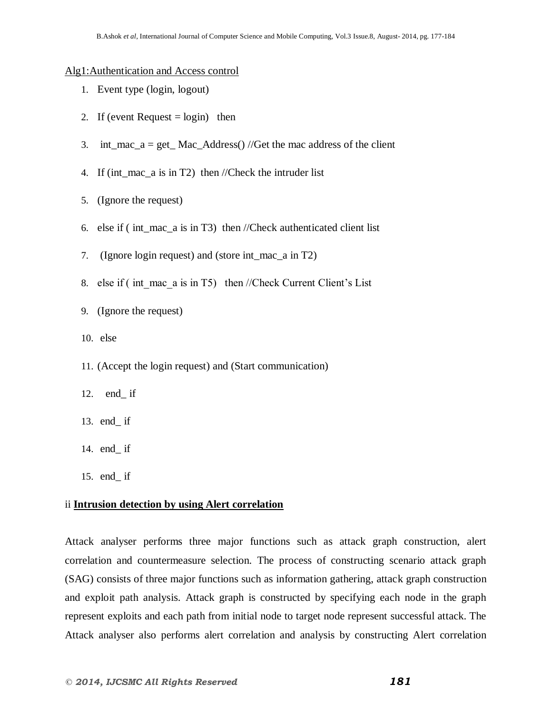#### Alg1:Authentication and Access control

- 1. Event type (login, logout)
- 2. If (event Request  $=$  login) then
- 3. int\_mac\_a = get\_Mac\_Address() //Get the mac address of the client
- 4. If (int\_mac\_a is in T2) then //Check the intruder list
- 5. (Ignore the request)
- 6. else if ( int\_mac\_a is in T3) then //Check authenticated client list
- 7. (Ignore login request) and (store int\_mac\_a in T2)
- 8. else if ( int\_mac\_a is in T5) then //Check Current Client's List
- 9. (Ignore the request)
- 10. else
- 11. (Accept the login request) and (Start communication)
- 12. end\_ if
- 13. end\_ if
- 14. end\_ if
- 15. end\_ if

## ii **Intrusion detection by using Alert correlation**

Attack analyser performs three major functions such as attack graph construction, alert correlation and countermeasure selection. The process of constructing scenario attack graph (SAG) consists of three major functions such as information gathering, attack graph construction and exploit path analysis. Attack graph is constructed by specifying each node in the graph represent exploits and each path from initial node to target node represent successful attack. The Attack analyser also performs alert correlation and analysis by constructing Alert correlation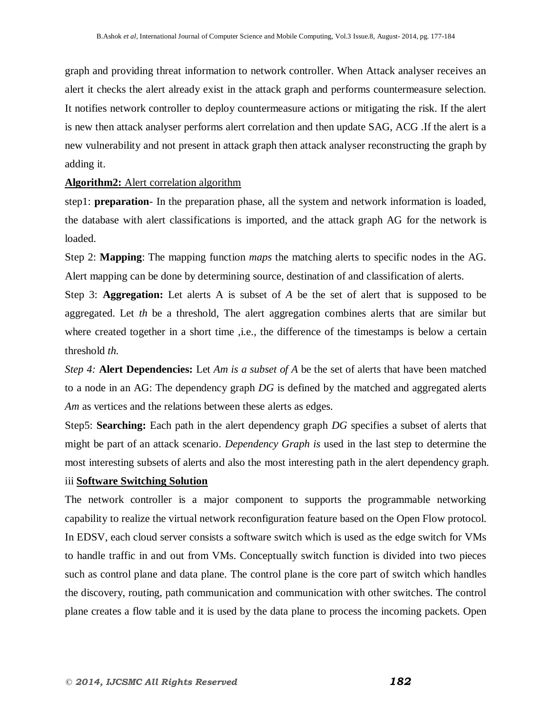graph and providing threat information to network controller. When Attack analyser receives an alert it checks the alert already exist in the attack graph and performs countermeasure selection. It notifies network controller to deploy countermeasure actions or mitigating the risk. If the alert is new then attack analyser performs alert correlation and then update SAG, ACG .If the alert is a new vulnerability and not present in attack graph then attack analyser reconstructing the graph by adding it.

## **Algorithm2:** Alert correlation algorithm

step1: **preparation**- In the preparation phase, all the system and network information is loaded, the database with alert classifications is imported, and the attack graph AG for the network is loaded.

Step 2: **Mapping**: The mapping function *maps* the matching alerts to specific nodes in the AG. Alert mapping can be done by determining source, destination of and classification of alerts.

Step 3: **Aggregation:** Let alerts A is subset of *A* be the set of alert that is supposed to be aggregated. Let *th* be a threshold, The alert aggregation combines alerts that are similar but where created together in a short time , i.e., the difference of the timestamps is below a certain threshold *th.*

*Step 4:* **Alert Dependencies:** Let *Am is a subset of A* be the set of alerts that have been matched to a node in an AG: The dependency graph *DG* is defined by the matched and aggregated alerts *Am* as vertices and the relations between these alerts as edges.

Step5: **Searching:** Each path in the alert dependency graph *DG* specifies a subset of alerts that might be part of an attack scenario. *Dependency Graph is* used in the last step to determine the most interesting subsets of alerts and also the most interesting path in the alert dependency graph.

# iii **Software Switching Solution**

The network controller is a major component to supports the programmable networking capability to realize the virtual network reconfiguration feature based on the Open Flow protocol. In EDSV, each cloud server consists a software switch which is used as the edge switch for VMs to handle traffic in and out from VMs. Conceptually switch function is divided into two pieces such as control plane and data plane. The control plane is the core part of switch which handles the discovery, routing, path communication and communication with other switches. The control plane creates a flow table and it is used by the data plane to process the incoming packets. Open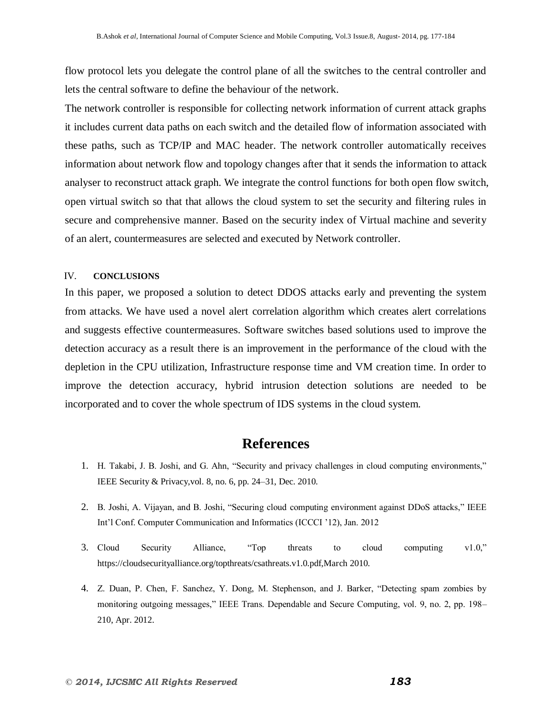flow protocol lets you delegate the control plane of all the switches to the central controller and lets the central software to define the behaviour of the network.

The network controller is responsible for collecting network information of current attack graphs it includes current data paths on each switch and the detailed flow of information associated with these paths, such as TCP/IP and MAC header. The network controller automatically receives information about network flow and topology changes after that it sends the information to attack analyser to reconstruct attack graph. We integrate the control functions for both open flow switch, open virtual switch so that that allows the cloud system to set the security and filtering rules in secure and comprehensive manner. Based on the security index of Virtual machine and severity of an alert, countermeasures are selected and executed by Network controller.

#### IV. **CONCLUSIONS**

In this paper, we proposed a solution to detect DDOS attacks early and preventing the system from attacks. We have used a novel alert correlation algorithm which creates alert correlations and suggests effective countermeasures. Software switches based solutions used to improve the detection accuracy as a result there is an improvement in the performance of the cloud with the depletion in the CPU utilization, Infrastructure response time and VM creation time. In order to improve the detection accuracy, hybrid intrusion detection solutions are needed to be incorporated and to cover the whole spectrum of IDS systems in the cloud system.

# **References**

- 1. H. Takabi, J. B. Joshi, and G. Ahn, "Security and privacy challenges in cloud computing environments," IEEE Security & Privacy,vol. 8, no. 6, pp. 24–31, Dec. 2010.
- 2. B. Joshi, A. Vijayan, and B. Joshi, "Securing cloud computing environment against DDoS attacks," IEEE Int'l Conf. Computer Communication and Informatics (ICCCI '12), Jan. 2012
- 3. Cloud Security Alliance, "Top threats to cloud computing v1.0," https://cloudsecurityalliance.org/topthreats/csathreats.v1.0.pdf,March 2010.
- 4. Z. Duan, P. Chen, F. Sanchez, Y. Dong, M. Stephenson, and J. Barker, "Detecting spam zombies by monitoring outgoing messages," IEEE Trans. Dependable and Secure Computing, vol. 9, no. 2, pp. 198– 210, Apr. 2012.